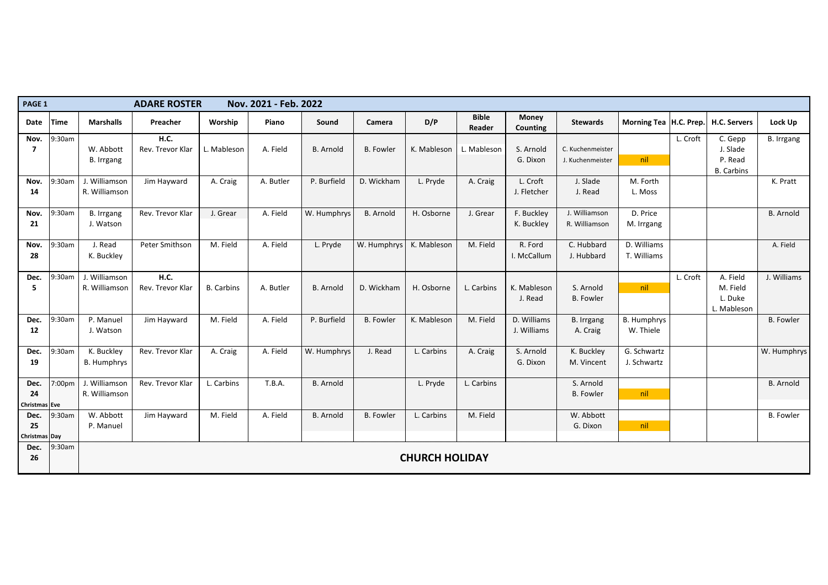| PAGE 1               |             |                    | <b>ADARE ROSTER</b> |                   | Nov. 2021 - Feb. 2022 |                  |                  |                       |                               |                                 |                   |                          |          |                     |                   |
|----------------------|-------------|--------------------|---------------------|-------------------|-----------------------|------------------|------------------|-----------------------|-------------------------------|---------------------------------|-------------------|--------------------------|----------|---------------------|-------------------|
| Date                 | <b>Time</b> | <b>Marshalls</b>   | Preacher            | Worship           | Piano                 | Sound            | Camera           | D/P                   | <b>Bible</b><br><b>Reader</b> | <b>Money</b><br><b>Counting</b> | <b>Stewards</b>   | Morning Tea   H.C. Prep. |          | <b>H.C. Servers</b> | Lock Up           |
| Nov.                 | 9:30am      |                    | <b>H.C.</b>         |                   |                       |                  |                  |                       |                               |                                 |                   |                          | L. Croft | C. Gepp             | <b>B.</b> Irrgang |
|                      |             | W. Abbott          | Rev. Trevor Klar    | Mableson          | A. Field              | <b>B.</b> Arnold | <b>B.</b> Fowler | K. Mableson           | L. Mableson                   | S. Arnold                       | C. Kuchenmeister  |                          |          | J. Slade            |                   |
|                      |             | B. Irrgang         |                     |                   |                       |                  |                  |                       |                               | G. Dixon                        | J. Kuchenmeister  | nil                      |          | P. Read             |                   |
|                      |             |                    |                     |                   |                       |                  |                  |                       |                               |                                 |                   |                          |          | <b>B.</b> Carbins   |                   |
| Nov.                 | 9:30am      | J. Williamson      | Jim Hayward         | A. Craig          | A. Butler             | P. Burfield      | D. Wickham       | L. Pryde              | A. Craig                      | L. Croft                        | J. Slade          | M. Forth                 |          |                     | K. Pratt          |
| 14                   |             | R. Williamson      |                     |                   |                       |                  |                  |                       |                               | J. Fletcher                     | J. Read           | L. Moss                  |          |                     |                   |
| Nov.                 | $9:30$ am   | <b>B.</b> Irrgang  | Rev. Trevor Klar    | J. Grear          | A. Field              | W. Humphrys      | <b>B.</b> Arnold | H. Osborne            | J. Grear                      | F. Buckley                      | J. Williamson     | D. Price                 |          |                     | <b>B.</b> Arnold  |
| 21                   |             | J. Watson          |                     |                   |                       |                  |                  |                       |                               | K. Buckley                      | R. Williamson     | M. Irrgang               |          |                     |                   |
| Nov.                 | 9:30am      | J. Read            | Peter Smithson      | M. Field          | A. Field              | L. Pryde         | W. Humphrys      | K. Mableson           | M. Field                      | R. Ford                         | C. Hubbard        | D. Williams              |          |                     | A. Field          |
| 28                   |             | K. Buckley         |                     |                   |                       |                  |                  |                       |                               | I. McCallum                     | J. Hubbard        | T. Williams              |          |                     |                   |
| Dec.                 | 9:30am      | J. Williamson      | <b>H.C.</b>         |                   |                       |                  |                  |                       |                               |                                 |                   |                          | L. Croft | A. Field            | J. Williams       |
| 5                    |             | R. Williamson      | Rev. Trevor Klar    | <b>B.</b> Carbins | A. Butler             | <b>B.</b> Arnold | D. Wickham       | H. Osborne            | . Carbins                     | K. Mableson                     | S. Arnold         | nil                      |          | M. Field            |                   |
|                      |             |                    |                     |                   |                       |                  |                  |                       |                               | J. Read                         | <b>B.</b> Fowler  |                          |          | L. Duke             |                   |
|                      |             |                    |                     |                   |                       |                  |                  |                       |                               |                                 |                   |                          |          | L. Mableson         |                   |
| Dec.                 | 9:30am      | P. Manuel          | Jim Hayward         | M. Field          | A. Field              | P. Burfield      | <b>B.</b> Fowler | K. Mableson           | M. Field                      | D. Williams                     | <b>B.</b> Irrgang | <b>B. Humphrys</b>       |          |                     | <b>B.</b> Fowler  |
| 12                   |             | J. Watson          |                     |                   |                       |                  |                  |                       |                               | J. Williams                     | A. Craig          | W. Thiele                |          |                     |                   |
| Dec.                 | 9:30am      | K. Buckley         | Rev. Trevor Klar    | A. Craig          | A. Field              | W. Humphrys      | J. Read          | L. Carbins            | A. Craig                      | S. Arnold                       | K. Buckley        | G. Schwartz              |          |                     | W. Humphrys       |
| 19                   |             | <b>B. Humphrys</b> |                     |                   |                       |                  |                  |                       |                               | G. Dixon                        | M. Vincent        | J. Schwartz              |          |                     |                   |
| Dec.                 | 7:00pm      | J. Williamson      | Rev. Trevor Klar    | L. Carbins        | T.B.A.                | <b>B.</b> Arnold |                  | L. Pryde              | L. Carbins                    |                                 | S. Arnold         |                          |          |                     | <b>B.</b> Arnold  |
| 24                   |             | R. Williamson      |                     |                   |                       |                  |                  |                       |                               |                                 | <b>B.</b> Fowler  | nil                      |          |                     |                   |
| <b>Christmas Eve</b> |             |                    |                     |                   |                       |                  |                  |                       |                               |                                 |                   |                          |          |                     |                   |
| Dec.                 | 9:30am      | W. Abbott          | Jim Hayward         | M. Field          | A. Field              | <b>B.</b> Arnold | <b>B.</b> Fowler | L. Carbins            | M. Field                      |                                 | W. Abbott         |                          |          |                     | <b>B.</b> Fowler  |
| 25                   |             | P. Manuel          |                     |                   |                       |                  |                  |                       |                               |                                 | G. Dixon          | nil                      |          |                     |                   |
| <b>Christmas Day</b> |             |                    |                     |                   |                       |                  |                  |                       |                               |                                 |                   |                          |          |                     |                   |
| Dec.<br>26           | 9:30am      |                    |                     |                   |                       |                  |                  | <b>CHURCH HOLIDAY</b> |                               |                                 |                   |                          |          |                     |                   |